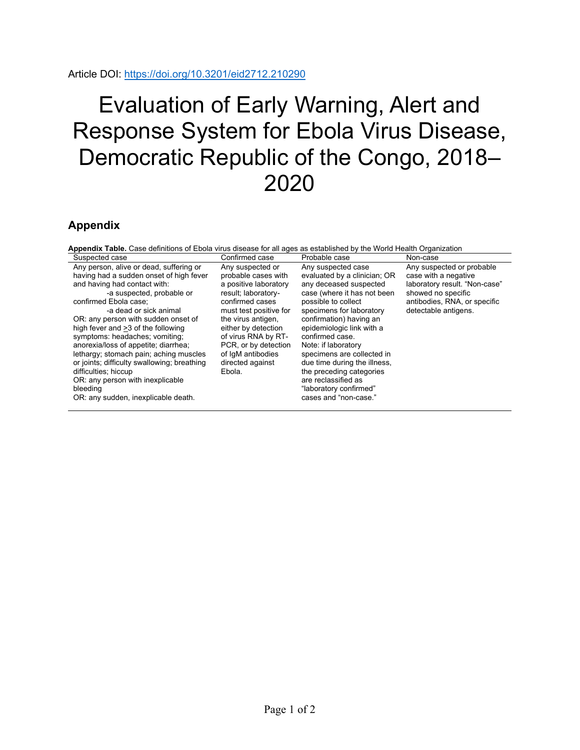## Evaluation of Early Warning, Alert and Response System for Ebola Virus Disease, Democratic Republic of the Congo, 2018– 2020

## **Appendix**

| <b>Appendix Table.</b> Case definitions of Ebola virus disease for all ages as established by the World Health Organization                                                                                                                                                                                                                                                                                                                                                                                                                                       |                                                                                                                                                                                                                                                                                     |                                                                                                                                                                                                                                                                                                                                                                                                                                      |                                                                                                                                                                  |
|-------------------------------------------------------------------------------------------------------------------------------------------------------------------------------------------------------------------------------------------------------------------------------------------------------------------------------------------------------------------------------------------------------------------------------------------------------------------------------------------------------------------------------------------------------------------|-------------------------------------------------------------------------------------------------------------------------------------------------------------------------------------------------------------------------------------------------------------------------------------|--------------------------------------------------------------------------------------------------------------------------------------------------------------------------------------------------------------------------------------------------------------------------------------------------------------------------------------------------------------------------------------------------------------------------------------|------------------------------------------------------------------------------------------------------------------------------------------------------------------|
| Suspected case                                                                                                                                                                                                                                                                                                                                                                                                                                                                                                                                                    | Confirmed case                                                                                                                                                                                                                                                                      | Probable case                                                                                                                                                                                                                                                                                                                                                                                                                        | Non-case                                                                                                                                                         |
| Any person, alive or dead, suffering or<br>having had a sudden onset of high fever<br>and having had contact with:<br>-a suspected, probable or<br>confirmed Ebola case:<br>-a dead or sick animal<br>OR: any person with sudden onset of<br>high fever and >3 of the following<br>symptoms: headaches; vomiting;<br>anorexia/loss of appetite; diarrhea;<br>lethargy; stomach pain; aching muscles<br>or joints; difficulty swallowing; breathing<br>difficulties; hiccup<br>OR: any person with inexplicable<br>bleeding<br>OR: any sudden, inexplicable death. | Any suspected or<br>probable cases with<br>a positive laboratory<br>result; laboratory-<br>confirmed cases<br>must test positive for<br>the virus antigen,<br>either by detection<br>of virus RNA by RT-<br>PCR, or by detection<br>of IqM antibodies<br>directed against<br>Ebola. | Any suspected case<br>evaluated by a clinician; OR<br>any deceased suspected<br>case (where it has not been<br>possible to collect<br>specimens for laboratory<br>confirmation) having an<br>epidemiologic link with a<br>confirmed case.<br>Note: if laboratory<br>specimens are collected in<br>due time during the illness.<br>the preceding categories<br>are reclassified as<br>"laboratory confirmed"<br>cases and "non-case." | Any suspected or probable<br>case with a negative<br>laboratory result. "Non-case"<br>showed no specific<br>antibodies, RNA, or specific<br>detectable antigens. |